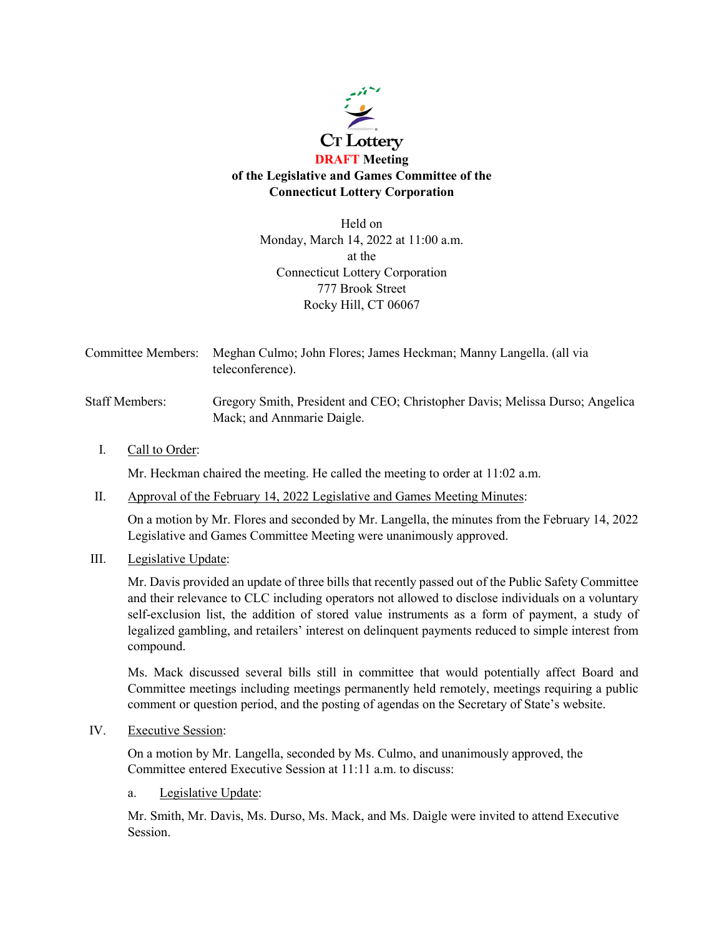

Held on Monday, March 14, 2022 at 11:00 a.m. at the Connecticut Lottery Corporation 777 Brook Street Rocky Hill, CT 06067

Committee Members: Meghan Culmo; John Flores; James Heckman; Manny Langella. (all via teleconference).

Staff Members: Gregory Smith, President and CEO; Christopher Davis; Melissa Durso; Angelica Mack; and Annmarie Daigle.

I. Call to Order:

Mr. Heckman chaired the meeting. He called the meeting to order at 11:02 a.m.

II. Approval of the February 14, 2022 Legislative and Games Meeting Minutes:

On a motion by Mr. Flores and seconded by Mr. Langella, the minutes from the February 14, 2022 Legislative and Games Committee Meeting were unanimously approved.

III. Legislative Update:

Mr. Davis provided an update of three bills that recently passed out of the Public Safety Committee and their relevance to CLC including operators not allowed to disclose individuals on a voluntary self-exclusion list, the addition of stored value instruments as a form of payment, a study of legalized gambling, and retailers' interest on delinquent payments reduced to simple interest from compound.

Ms. Mack discussed several bills still in committee that would potentially affect Board and Committee meetings including meetings permanently held remotely, meetings requiring a public comment or question period, and the posting of agendas on the Secretary of State's website.

IV. Executive Session:

On a motion by Mr. Langella, seconded by Ms. Culmo, and unanimously approved, the Committee entered Executive Session at 11:11 a.m. to discuss:

a. Legislative Update:

Mr. Smith, Mr. Davis, Ms. Durso, Ms. Mack, and Ms. Daigle were invited to attend Executive Session.